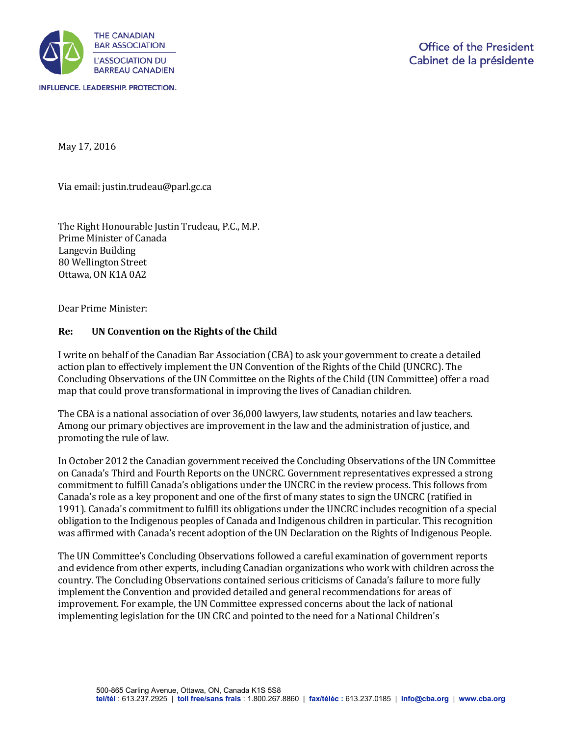

May 17, 2016

Via email: justin.trudeau@parl.gc.ca

The Right Honourable Justin Trudeau, P.C., M.P. Prime Minister of Canada Langevin Building 80 Wellington Street Ottawa, ON K1A 0A2

Dear Prime Minister:

## **Re: UN Convention on the Rights of the Child**

I write on behalf of the Canadian Bar Association (CBA) to ask your government to create a detailed action plan to effectively implement the UN Convention of the Rights of the Child (UNCRC). The Concluding Observations of the UN Committee on the Rights of the Child (UN Committee) offer a road map that could prove transformational in improving the lives of Canadian children.

The CBA is a national association of over 36,000 lawyers, law students, notaries and law teachers. Among our primary objectives are improvement in the law and the administration of justice, and promoting the rule of law.

In October 2012 the Canadian government received the Concluding Observations of the UN Committee on Canada's Third and Fourth Reports on the UNCRC. Government representatives expressed a strong commitment to fulfill Canada's obligations under the UNCRC in the review process. This follows from Canada's role as a key proponent and one of the first of many states to sign the UNCRC (ratified in 1991). Canada's commitment to fulfill its obligations under the UNCRC includes recognition of a special obligation to the Indigenous peoples of Canada and Indigenous children in particular. This recognition was affirmed with Canada's recent adoption of the UN Declaration on the Rights of Indigenous People.

The UN Committee's Concluding Observations followed a careful examination of government reports and evidence from other experts, including Canadian organizations who work with children across the country. The Concluding Observations contained serious criticisms of Canada's failure to more fully implement the Convention and provided detailed and general recommendations for areas of improvement. For example, the UN Committee expressed concerns about the lack of national implementing legislation for the UN CRC and pointed to the need for a National Children's